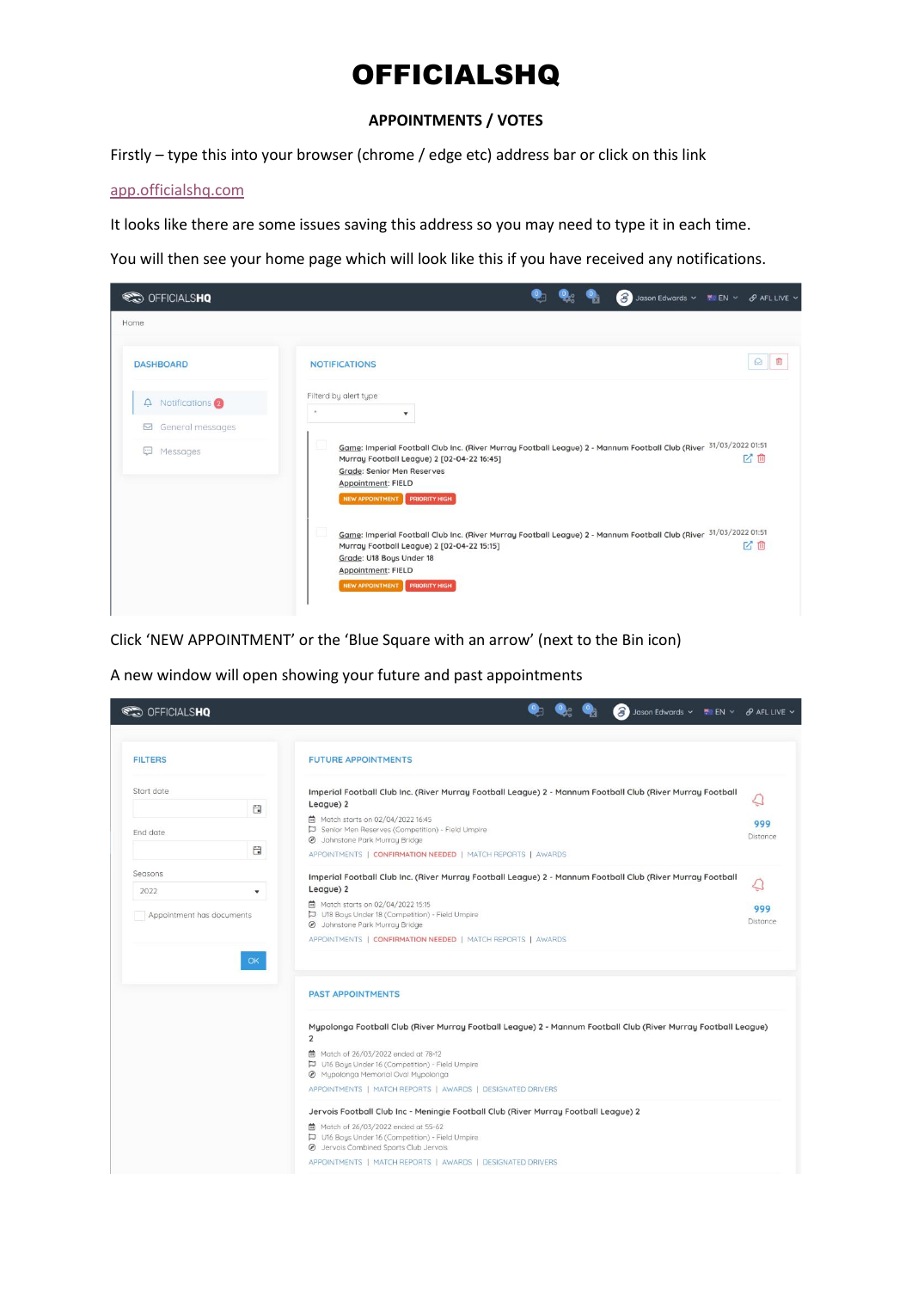# OFFICIALSHQ

### **APPOINTMENTS / VOTES**

Firstly – type this into your browser (chrome / edge etc) address bar or click on this link

## [app.officialshq.com](https://app.officialshq.com/)

It looks like there are some issues saving this address so you may need to type it in each time.

You will then see your home page which will look like this if you have received any notifications.

| <b>SED OFFICIALSHQ</b>                                        | Jason Edwards v Me EN v & AFL LIVE v                                                                                                                                                                                                                                              |
|---------------------------------------------------------------|-----------------------------------------------------------------------------------------------------------------------------------------------------------------------------------------------------------------------------------------------------------------------------------|
| Home                                                          |                                                                                                                                                                                                                                                                                   |
| <b>DASHBOARD</b>                                              | Q<br><b>NOTIFICATIONS</b>                                                                                                                                                                                                                                                         |
| $\Delta$ Notifications $\Omega$<br>$\boxdot$ General messages | Filterd by alert type<br>$\sim$<br>$\checkmark$                                                                                                                                                                                                                                   |
| Messages<br>bud.                                              | Game: Imperial Football Club Inc. (River Murray Football League) 2 - Mannum Football Club (River 31/03/2022 01:51<br>المال<br>ビ血<br>Murray Football League) 2 [02-04-22 16:45]<br><b>Grade: Senior Men Reserves</b><br><b>Appointment: FIELD</b><br>NEW APPOINTMENT PRIORITY HIGH |
|                                                               | Game: Imperial Football Club Inc. (River Murray Football League) 2 - Mannum Football Club (River 31/03/2022 01:51<br>المارا<br>凶血<br>Murray Football League) 2 [02-04-22 15:15]<br>Grade: U18 Boys Under 18<br>Appointment: FIELD<br>NEW APPOINTMENT PRIORITY HIGH                |

Click 'NEW APPOINTMENT' or the 'Blue Square with an arrow' (next to the Bin icon)

A new window will open showing your future and past appointments

| <b>CO</b> OFFICIALSHQ           |                      | Jason Edwards v Min EN v & AFL LIVE v                                                                                                                                                        |                 |
|---------------------------------|----------------------|----------------------------------------------------------------------------------------------------------------------------------------------------------------------------------------------|-----------------|
| <b>FILTERS</b>                  |                      | <b>FUTURE APPOINTMENTS</b>                                                                                                                                                                   |                 |
| Start date                      | 自                    | Imperial Football Club Inc. (River Murray Football League) 2 - Mannum Football Club (River Murray Football<br>League) 2<br>向 Match starts on 02/04/2022 16:45                                | Ő               |
| End date                        | 自                    | Senior Men Reserves (Competition) - Field Umpire<br><b>Ø</b> Johnstone Park Murray Bridge<br>APPOINTMENTS   CONFIRMATION NEEDED   MATCH REPORTS   AWARDS                                     | 999<br>Distance |
| Seasons<br>2022                 | $\blacktriangledown$ | Imperial Football Club Inc. (River Murray Football League) 2 - Mannum Football Club (River Murray Football<br>League) 2                                                                      | Q               |
| Appointment has documents<br>OK |                      | □ Match starts on 02/04/2022 15:15<br>U18 Bous Under 18 (Competition) - Field Umpire<br><b>Ø</b> Johnstone Park Murray Bridge<br>APPOINTMENTS   CONFIRMATION NEEDED   MATCH REPORTS   AWARDS | 999<br>Distance |
|                                 |                      | <b>PAST APPOINTMENTS</b>                                                                                                                                                                     |                 |
|                                 |                      | Mypolonga Football Club (River Murray Football League) 2 - Mannum Football Club (River Murray Football League)<br>2                                                                          |                 |
|                                 |                      | <b>菌</b> Match of 26/03/2022 ended at 78-12<br>U16 Boys Under 16 (Competition) - Field Umpire<br>@ Mypolonga Memorial Oval Mypolonga                                                         |                 |
|                                 |                      | APPOINTMENTS   MATCH REPORTS   AWARDS   DESIGNATED DRIVERS<br>Jervois Football Club Inc - Meningie Football Club (River Murray Football League) 2                                            |                 |
|                                 |                      | □ Match of 26/03/2022 ended at 55-62<br>U16 Boys Under 16 (Competition) - Field Umpire<br><b>@</b> Jervols Combined Sports Club Jervois                                                      |                 |
|                                 |                      | APPOINTMENTS   MATCH REPORTS   AWARDS   DESIGNATED DRIVERS                                                                                                                                   |                 |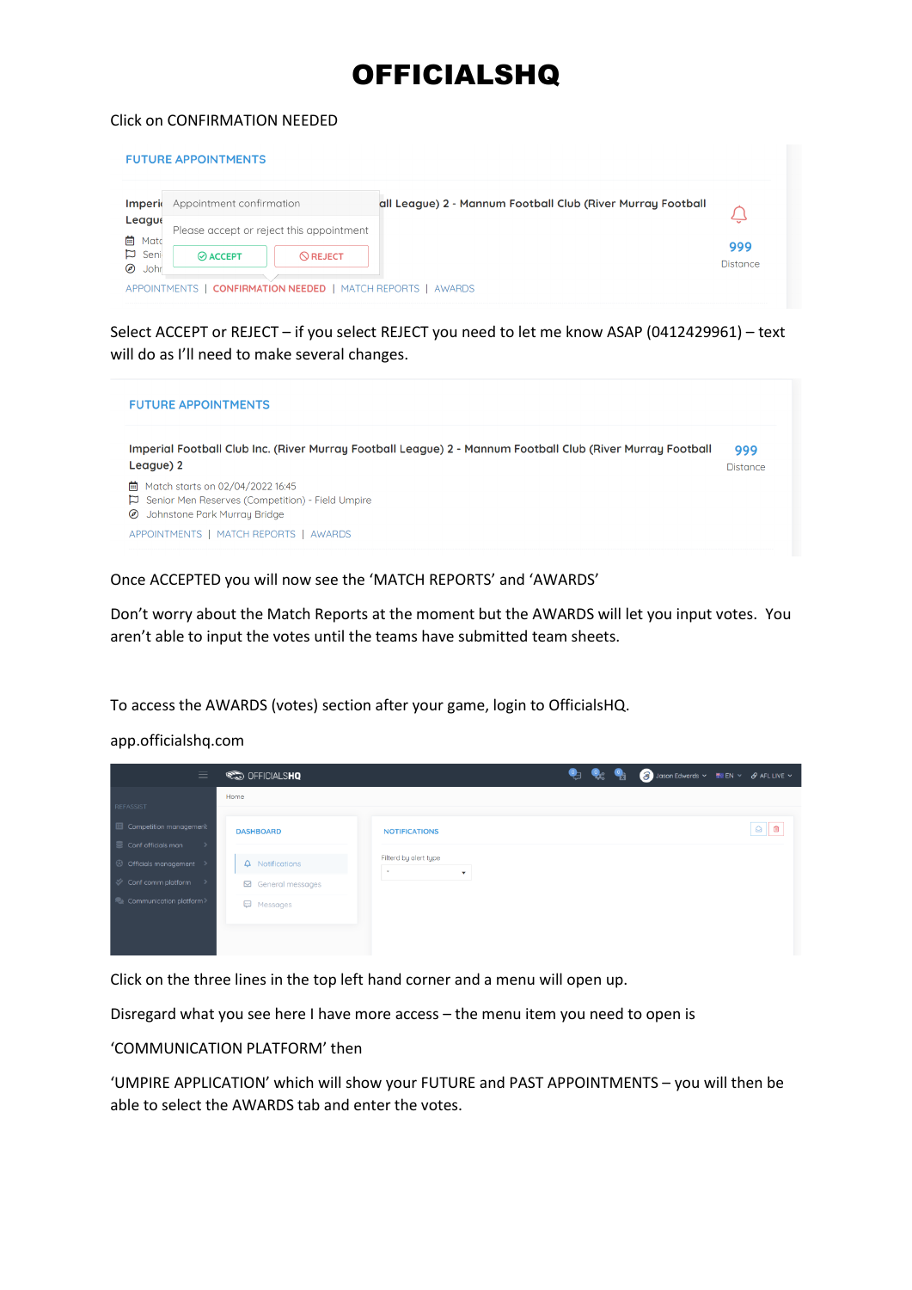# **OFFICIALSHQ**

### Click on CONFIRMATION NEEDED

#### **FUTURE APPOINTMENTS**



Select ACCEPT or REJECT – if you select REJECT you need to let me know ASAP (0412429961) – text will do as I'll need to make several changes.



### Once ACCEPTED you will now see the 'MATCH REPORTS' and 'AWARDS'

Don't worry about the Match Reports at the moment but the AWARDS will let you input votes. You aren't able to input the votes until the teams have submitted team sheets.

To access the AWARDS (votes) section after your game, login to OfficialsHQ.

### app.officialshq.com

| $\equiv$                                                       | <b>SED OFFICIALSHQ</b>     |                                                  | ⅇ<br>$\mathbf{Q}_2$ | <b>PART</b> | Jason Edwards v Ma EN v & AFL LIVE v |           |
|----------------------------------------------------------------|----------------------------|--------------------------------------------------|---------------------|-------------|--------------------------------------|-----------|
| REFASSIST                                                      | Home                       |                                                  |                     |             |                                      |           |
| Competition management<br>$\equiv$ Conf officials man<br>ъ.    | <b>DASHBOARD</b>           | <b>NOTIFICATIONS</b>                             |                     |             |                                      | $\odot$ 0 |
| © Officials management >                                       | $\Delta$ Notifications     | Filterd by alert type<br>$\mathbf{r}$<br>$\cdot$ |                     |             |                                      |           |
| Conf comm platform<br>$\rightarrow$<br>Communication platform> | $\boxdot$ General messages |                                                  |                     |             |                                      |           |
|                                                                | <b>E</b> Messages          |                                                  |                     |             |                                      |           |
|                                                                |                            |                                                  |                     |             |                                      |           |

Click on the three lines in the top left hand corner and a menu will open up.

Disregard what you see here I have more access – the menu item you need to open is

'COMMUNICATION PLATFORM' then

'UMPIRE APPLICATION' which will show your FUTURE and PAST APPOINTMENTS – you will then be able to select the AWARDS tab and enter the votes.